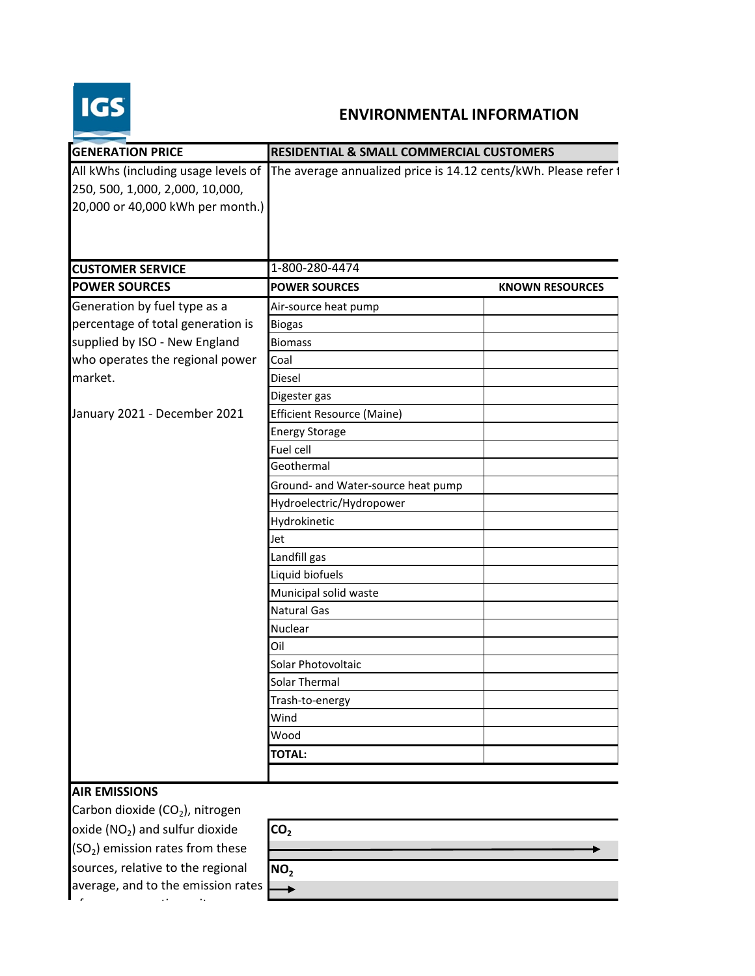

## **ENVIRONMENTAL INFORMATION**

| <b>GENERATION PRICE</b>                                                                                                                      | <b>RESIDENTIAL &amp; SMALL COMMERCIAL CUSTOMERS</b>                                                 |                        |
|----------------------------------------------------------------------------------------------------------------------------------------------|-----------------------------------------------------------------------------------------------------|------------------------|
| 250, 500, 1,000, 2,000, 10,000,<br>20,000 or 40,000 kWh per month.)                                                                          | All kWhs (including usage levels of The average annualized price is 14.12 cents/kWh. Please refer t |                        |
| <b>CUSTOMER SERVICE</b>                                                                                                                      | 1-800-280-4474                                                                                      |                        |
| <b>POWER SOURCES</b>                                                                                                                         | <b>POWER SOURCES</b>                                                                                | <b>KNOWN RESOURCES</b> |
| Generation by fuel type as a                                                                                                                 | Air-source heat pump                                                                                |                        |
| percentage of total generation is                                                                                                            | <b>Biogas</b>                                                                                       |                        |
| supplied by ISO - New England                                                                                                                | <b>Biomass</b>                                                                                      |                        |
| who operates the regional power                                                                                                              | Coal                                                                                                |                        |
| market.                                                                                                                                      | Diesel                                                                                              |                        |
|                                                                                                                                              | Digester gas                                                                                        |                        |
| January 2021 - December 2021                                                                                                                 | Efficient Resource (Maine)                                                                          |                        |
|                                                                                                                                              | <b>Energy Storage</b>                                                                               |                        |
|                                                                                                                                              | Fuel cell                                                                                           |                        |
|                                                                                                                                              | Geothermal                                                                                          |                        |
|                                                                                                                                              | Ground- and Water-source heat pump                                                                  |                        |
|                                                                                                                                              | Hydroelectric/Hydropower                                                                            |                        |
|                                                                                                                                              | Hydrokinetic                                                                                        |                        |
|                                                                                                                                              | Jet                                                                                                 |                        |
|                                                                                                                                              | Landfill gas                                                                                        |                        |
|                                                                                                                                              | Liquid biofuels                                                                                     |                        |
|                                                                                                                                              | Municipal solid waste                                                                               |                        |
|                                                                                                                                              | <b>Natural Gas</b>                                                                                  |                        |
|                                                                                                                                              | Nuclear                                                                                             |                        |
|                                                                                                                                              | Oil                                                                                                 |                        |
|                                                                                                                                              | Solar Photovoltaic                                                                                  |                        |
|                                                                                                                                              | Solar Thermal                                                                                       |                        |
|                                                                                                                                              | Trash-to-energy                                                                                     |                        |
|                                                                                                                                              | Wind                                                                                                |                        |
|                                                                                                                                              | Wood                                                                                                |                        |
|                                                                                                                                              | <b>TOTAL:</b>                                                                                       |                        |
|                                                                                                                                              |                                                                                                     |                        |
| <b>AIR EMISSIONS</b><br>Carbon dioxide (CO <sub>2</sub> ), nitrogen<br>oxide $(NO2)$ and sulfur dioxide<br>$(SO2)$ emission rates from these | CO <sub>2</sub>                                                                                     |                        |

sources, relative to the regional **NO**<sub>2</sub> average, and to the emission rates

of a new generating unit.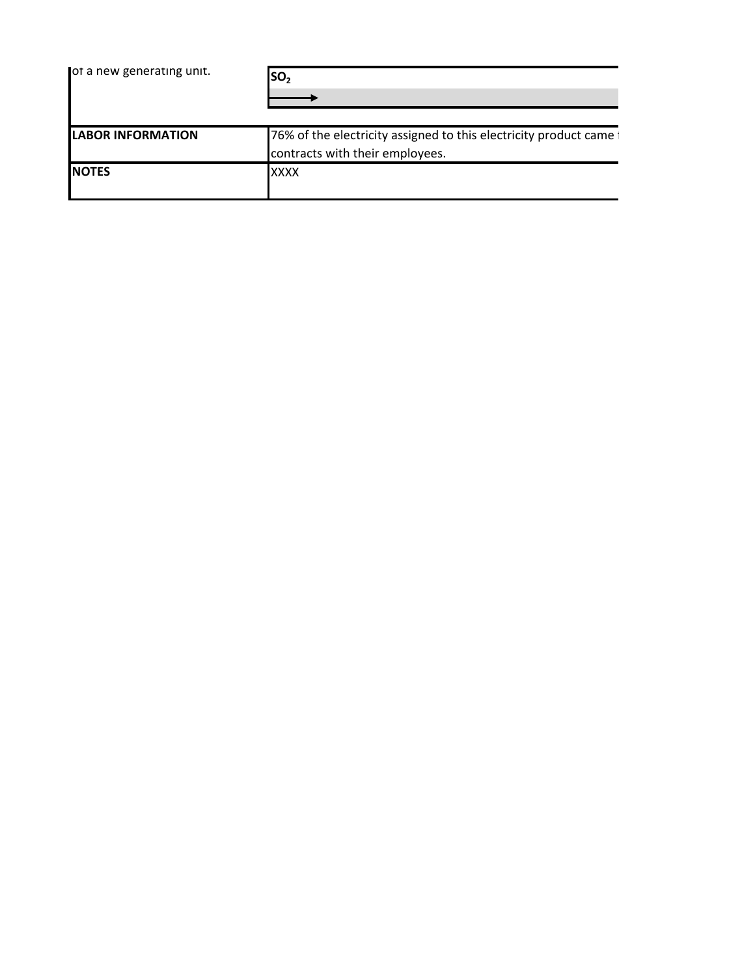| ot a new generating unit. | SO <sub>2</sub>                                                     |
|---------------------------|---------------------------------------------------------------------|
| <b>LABOR INFORMATION</b>  | 76% of the electricity assigned to this electricity product came to |
|                           | contracts with their employees.                                     |
| <b>NOTES</b>              | <b>XXXX</b>                                                         |
|                           |                                                                     |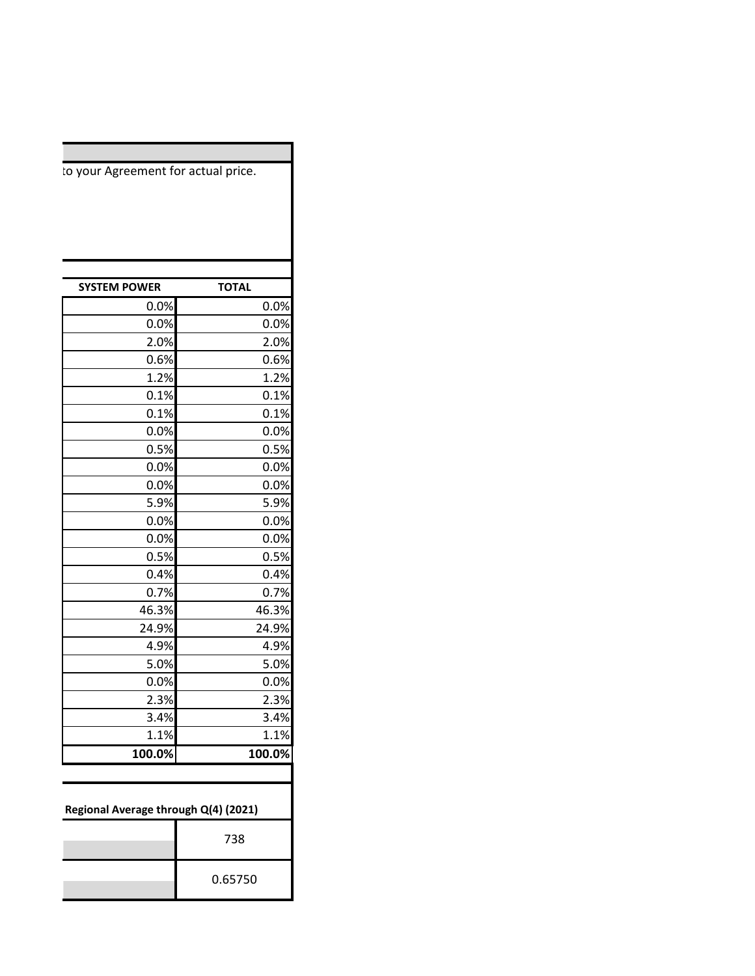| <b>SYSTEM POWER</b>                  | <b>TOTAL</b> |  |  |  |
|--------------------------------------|--------------|--|--|--|
| 0.0%                                 | 0.0%         |  |  |  |
| 0.0%                                 | 0.0%         |  |  |  |
| 2.0%                                 | 2.0%         |  |  |  |
| 0.6%                                 | 0.6%         |  |  |  |
| 1.2%                                 | 1.2%         |  |  |  |
| 0.1%                                 | 0.1%         |  |  |  |
| 0.1%                                 | 0.1%         |  |  |  |
| 0.0%                                 | 0.0%         |  |  |  |
| 0.5%                                 | 0.5%         |  |  |  |
| 0.0%                                 | 0.0%         |  |  |  |
| 0.0%                                 | 0.0%         |  |  |  |
| 5.9%                                 | 5.9%         |  |  |  |
| 0.0%                                 | 0.0%         |  |  |  |
| 0.0%                                 | 0.0%         |  |  |  |
| 0.5%                                 | 0.5%         |  |  |  |
| 0.4%                                 | 0.4%         |  |  |  |
| 0.7%                                 | 0.7%         |  |  |  |
| 46.3%                                | 46.3%        |  |  |  |
| 24.9%                                | 24.9%        |  |  |  |
| 4.9%                                 | 4.9%         |  |  |  |
| 5.0%                                 | 5.0%         |  |  |  |
| 0.0%                                 | 0.0%         |  |  |  |
| 2.3%                                 | 2.3%         |  |  |  |
| 3.4%                                 | 3.4%         |  |  |  |
| 1.1%                                 | 1.1%         |  |  |  |
| 100.0%                               | 100.0%       |  |  |  |
| Regional Average through Q(4) (2021) |              |  |  |  |
|                                      | 738          |  |  |  |
|                                      | 0.65750      |  |  |  |

to your Agreement for actual price.